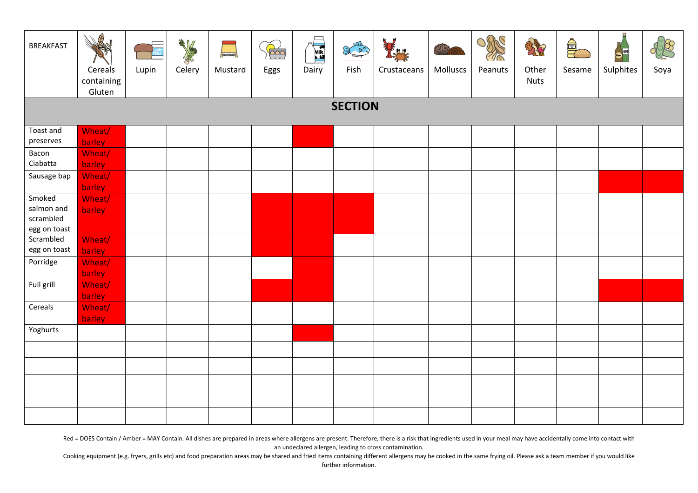| <b>BREAKFAST</b>          | B<br>Cereals<br>containing<br>Gluten | Lupin | 大学<br>Celery | MUSTARD<br>Mustard | $\left(\frac{1}{2}\right)$<br>Eggs | E<br>Dairy | <b>ALLES</b><br>Fish | Crustaceans | Molluscs | ORC<br>71Ř<br>Peanuts | 27<br>Other<br><b>Nuts</b> | $\frac{1}{\sqrt{2}}$<br>Sesame | π<br>$\bullet^{\boxplus}$<br>Sulphites | Soya |
|---------------------------|--------------------------------------|-------|--------------|--------------------|------------------------------------|------------|----------------------|-------------|----------|-----------------------|----------------------------|--------------------------------|----------------------------------------|------|
| <b>SECTION</b>            |                                      |       |              |                    |                                    |            |                      |             |          |                       |                            |                                |                                        |      |
| Toast and                 | Wheat/                               |       |              |                    |                                    |            |                      |             |          |                       |                            |                                |                                        |      |
| preserves                 | barley                               |       |              |                    |                                    |            |                      |             |          |                       |                            |                                |                                        |      |
| Bacon<br>Ciabatta         | Wheat/<br>barley                     |       |              |                    |                                    |            |                      |             |          |                       |                            |                                |                                        |      |
| Sausage bap               | Wheat/<br>barley                     |       |              |                    |                                    |            |                      |             |          |                       |                            |                                |                                        |      |
| Smoked<br>salmon and      | Wheat/<br>barley                     |       |              |                    |                                    |            |                      |             |          |                       |                            |                                |                                        |      |
| scrambled<br>egg on toast |                                      |       |              |                    |                                    |            |                      |             |          |                       |                            |                                |                                        |      |
| Scrambled<br>egg on toast | Wheat/<br>barley                     |       |              |                    |                                    |            |                      |             |          |                       |                            |                                |                                        |      |
| Porridge                  | Wheat/<br>barley                     |       |              |                    |                                    |            |                      |             |          |                       |                            |                                |                                        |      |
| Full grill                | Wheat/<br>barley                     |       |              |                    |                                    |            |                      |             |          |                       |                            |                                |                                        |      |
| Cereals                   | Wheat/<br>barley                     |       |              |                    |                                    |            |                      |             |          |                       |                            |                                |                                        |      |
| Yoghurts                  |                                      |       |              |                    |                                    |            |                      |             |          |                       |                            |                                |                                        |      |
|                           |                                      |       |              |                    |                                    |            |                      |             |          |                       |                            |                                |                                        |      |
|                           |                                      |       |              |                    |                                    |            |                      |             |          |                       |                            |                                |                                        |      |
|                           |                                      |       |              |                    |                                    |            |                      |             |          |                       |                            |                                |                                        |      |
|                           |                                      |       |              |                    |                                    |            |                      |             |          |                       |                            |                                |                                        |      |
|                           |                                      |       |              |                    |                                    |            |                      |             |          |                       |                            |                                |                                        |      |

Red = DOES Contain / Amber = MAY Contain. All dishes are prepared in areas where allergens are present. Therefore, there is a risk that ingredients used in your meal may have accidentally come into contact with an undeclared allergen, leading to cross contamination.

Cooking equipment (e.g. fryers, grills etc) and food preparation areas may be shared and fried items containing different allergens may be cooked in the same frying oil. Please ask a team member if you would like